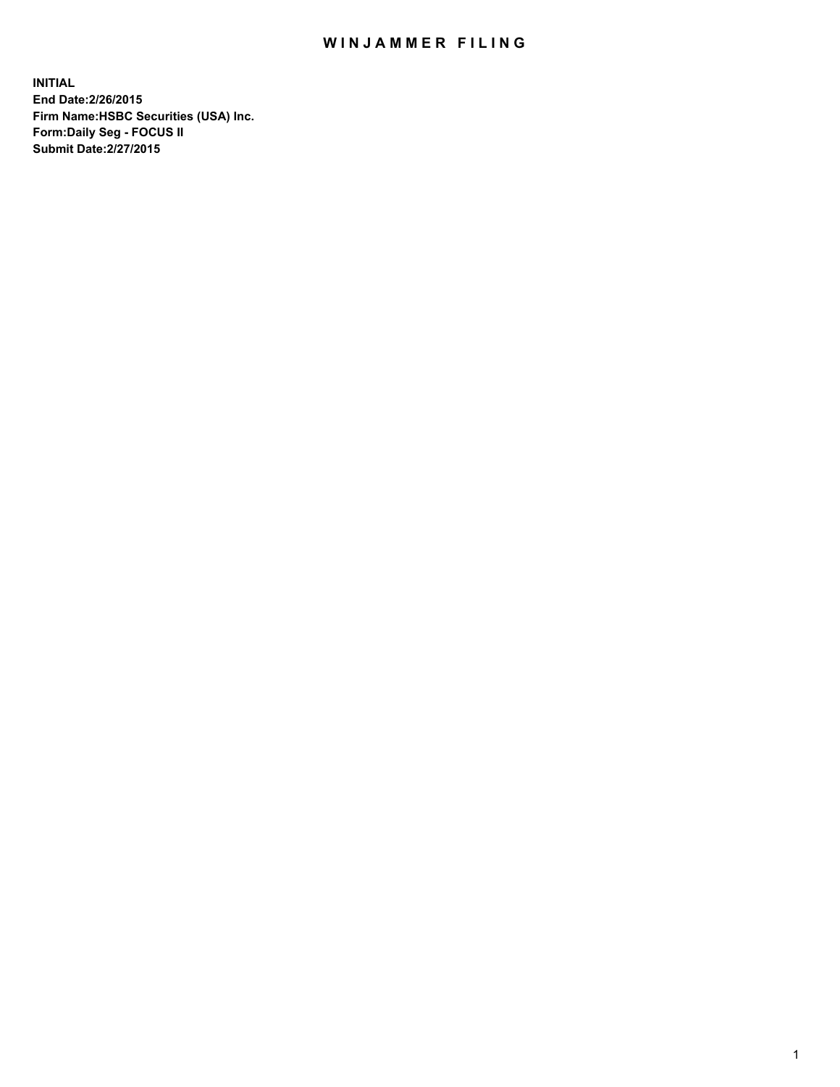## WIN JAMMER FILING

**INITIAL End Date:2/26/2015 Firm Name:HSBC Securities (USA) Inc. Form:Daily Seg - FOCUS II Submit Date:2/27/2015**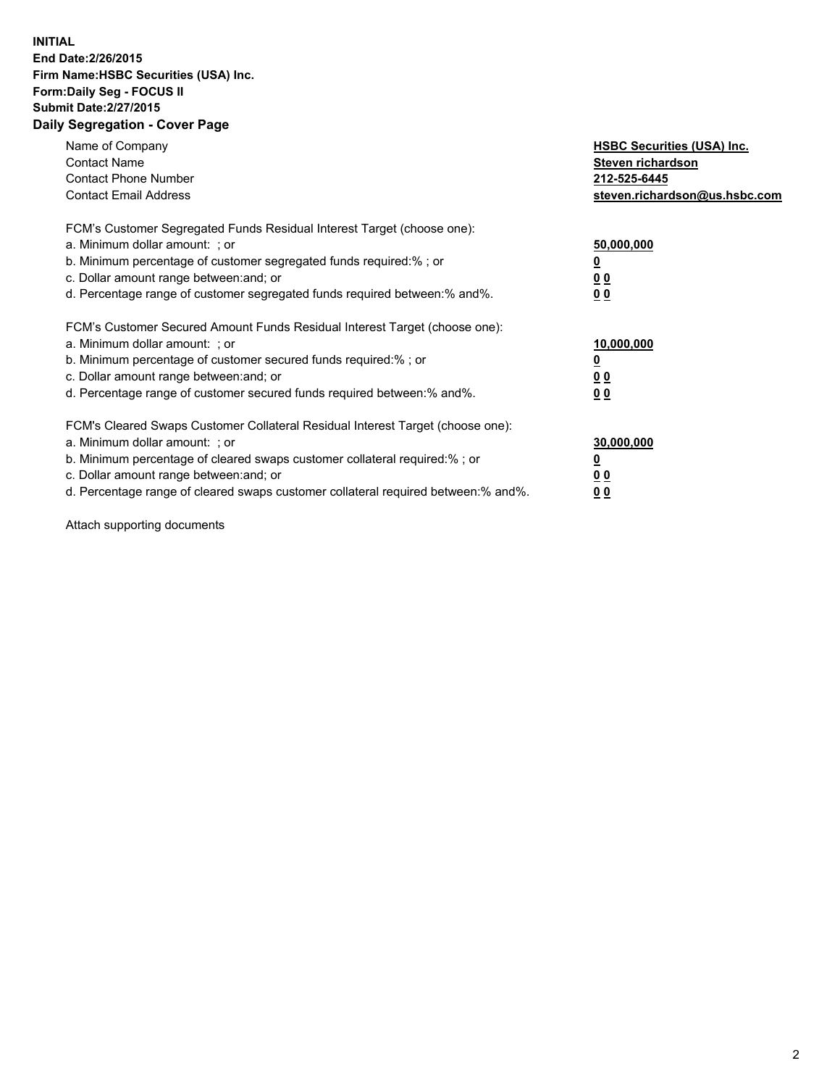## **INITIAL End Date:2/26/2015 Firm Name:HSBC Securities (USA) Inc. Form:Daily Seg - FOCUS II Submit Date:2/27/2015 Daily Segregation - Cover Page**

| Name of Company<br><b>Contact Name</b><br><b>Contact Phone Number</b><br><b>Contact Email Address</b>                                                                                                                                                                                                                          | <b>HSBC Securities (USA) Inc.</b><br>Steven richardson<br>212-525-6445<br>steven.richardson@us.hsbc.com |
|--------------------------------------------------------------------------------------------------------------------------------------------------------------------------------------------------------------------------------------------------------------------------------------------------------------------------------|---------------------------------------------------------------------------------------------------------|
| FCM's Customer Segregated Funds Residual Interest Target (choose one):<br>a. Minimum dollar amount: ; or<br>b. Minimum percentage of customer segregated funds required:% ; or<br>c. Dollar amount range between: and; or<br>d. Percentage range of customer segregated funds required between:% and%.                         | 50,000,000<br>0 <sub>0</sub><br>0 <sub>0</sub>                                                          |
| FCM's Customer Secured Amount Funds Residual Interest Target (choose one):<br>a. Minimum dollar amount: ; or<br>b. Minimum percentage of customer secured funds required:%; or<br>c. Dollar amount range between: and; or<br>d. Percentage range of customer secured funds required between: % and %.                          | 10,000,000<br><u>0</u><br>0 <sub>0</sub><br>0 <sub>0</sub>                                              |
| FCM's Cleared Swaps Customer Collateral Residual Interest Target (choose one):<br>a. Minimum dollar amount: ; or<br>b. Minimum percentage of cleared swaps customer collateral required:% ; or<br>c. Dollar amount range between: and; or<br>d. Percentage range of cleared swaps customer collateral required between:% and%. | 30,000,000<br>0 <sub>0</sub><br>0 <sub>0</sub>                                                          |

Attach supporting documents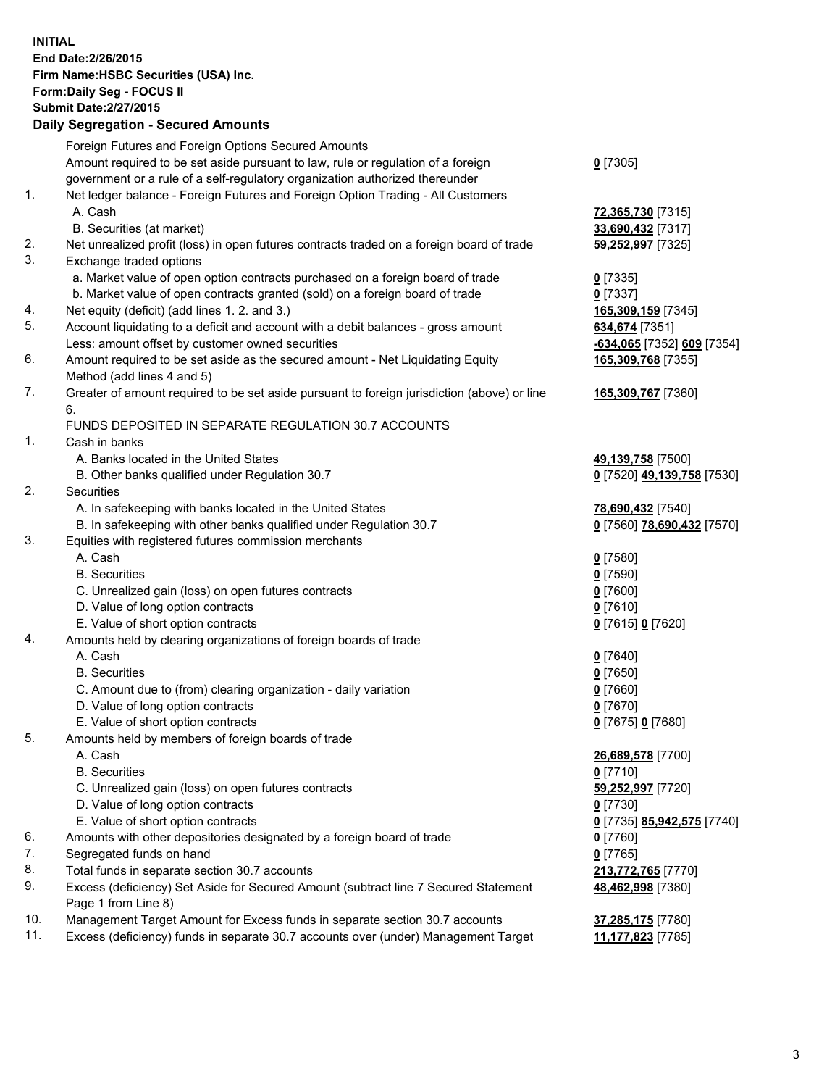**INITIAL End Date:2/26/2015 Firm Name:HSBC Securities (USA) Inc. Form:Daily Seg - FOCUS II Submit Date:2/27/2015 Daily Segregation - Secured Amounts**

|     | Foreign Futures and Foreign Options Secured Amounts                                         |                                         |
|-----|---------------------------------------------------------------------------------------------|-----------------------------------------|
|     | Amount required to be set aside pursuant to law, rule or regulation of a foreign            | $0$ [7305]                              |
|     | government or a rule of a self-regulatory organization authorized thereunder                |                                         |
| 1.  | Net ledger balance - Foreign Futures and Foreign Option Trading - All Customers             |                                         |
|     | A. Cash                                                                                     | 72,365,730 [7315]                       |
|     | B. Securities (at market)                                                                   | 33,690,432 [7317]                       |
| 2.  | Net unrealized profit (loss) in open futures contracts traded on a foreign board of trade   | 59,252,997 [7325]                       |
| 3.  | Exchange traded options                                                                     |                                         |
|     | a. Market value of open option contracts purchased on a foreign board of trade              | $0$ [7335]                              |
|     | b. Market value of open contracts granted (sold) on a foreign board of trade                | $0$ [7337]                              |
| 4.  | Net equity (deficit) (add lines 1.2. and 3.)                                                | 165,309,159 [7345]                      |
| 5.  | Account liquidating to a deficit and account with a debit balances - gross amount           | 634,674 [7351]                          |
|     | Less: amount offset by customer owned securities                                            | -634,065 [7352] 609 [7354]              |
| 6.  | Amount required to be set aside as the secured amount - Net Liquidating Equity              | 165,309,768 [7355]                      |
|     | Method (add lines 4 and 5)                                                                  |                                         |
| 7.  | Greater of amount required to be set aside pursuant to foreign jurisdiction (above) or line | 165,309,767 [7360]                      |
|     | 6.                                                                                          |                                         |
|     | FUNDS DEPOSITED IN SEPARATE REGULATION 30.7 ACCOUNTS                                        |                                         |
| 1.  | Cash in banks                                                                               |                                         |
|     | A. Banks located in the United States                                                       | 49,139,758 [7500]                       |
|     | B. Other banks qualified under Regulation 30.7                                              | 0 [7520] 49,139,758 [7530]              |
| 2.  | Securities                                                                                  |                                         |
|     | A. In safekeeping with banks located in the United States                                   | 78,690,432 [7540]                       |
|     | B. In safekeeping with other banks qualified under Regulation 30.7                          | 0 [7560] 78,690,432 [7570]              |
| 3.  | Equities with registered futures commission merchants                                       |                                         |
|     | A. Cash                                                                                     | $0$ [7580]                              |
|     | <b>B.</b> Securities                                                                        | $0$ [7590]                              |
|     | C. Unrealized gain (loss) on open futures contracts                                         | $0$ [7600]                              |
|     | D. Value of long option contracts                                                           | $0$ [7610]                              |
|     | E. Value of short option contracts                                                          | 0 [7615] 0 [7620]                       |
| 4.  | Amounts held by clearing organizations of foreign boards of trade                           |                                         |
|     | A. Cash                                                                                     | $0$ [7640]                              |
|     | <b>B.</b> Securities                                                                        | $0$ [7650]                              |
|     | C. Amount due to (from) clearing organization - daily variation                             | $0$ [7660]                              |
|     | D. Value of long option contracts                                                           | $0$ [7670]                              |
|     | E. Value of short option contracts                                                          | 0 [7675] 0 [7680]                       |
| 5.  | Amounts held by members of foreign boards of trade                                          |                                         |
|     | A. Cash                                                                                     | 26,689,578 [7700]                       |
|     | <b>B.</b> Securities                                                                        | $0$ [7710]                              |
|     | C. Unrealized gain (loss) on open futures contracts                                         | 59,252,997 [7720]                       |
|     | D. Value of long option contracts                                                           | $0$ [7730]                              |
|     | E. Value of short option contracts                                                          | 0 [7735] 85,942,575 [7740]              |
| 6.  | Amounts with other depositories designated by a foreign board of trade                      | $0$ [7760]                              |
| 7.  | Segregated funds on hand                                                                    | $0$ [7765]                              |
| 8.  | Total funds in separate section 30.7 accounts                                               |                                         |
| 9.  | Excess (deficiency) Set Aside for Secured Amount (subtract line 7 Secured Statement         | 213,772,765 [7770]<br>48,462,998 [7380] |
|     | Page 1 from Line 8)                                                                         |                                         |
| 10. | Management Target Amount for Excess funds in separate section 30.7 accounts                 |                                         |
| 11. | Excess (deficiency) funds in separate 30.7 accounts over (under) Management Target          | 37,285,175 [7780]                       |
|     |                                                                                             | 11,177,823 [7785]                       |
|     |                                                                                             |                                         |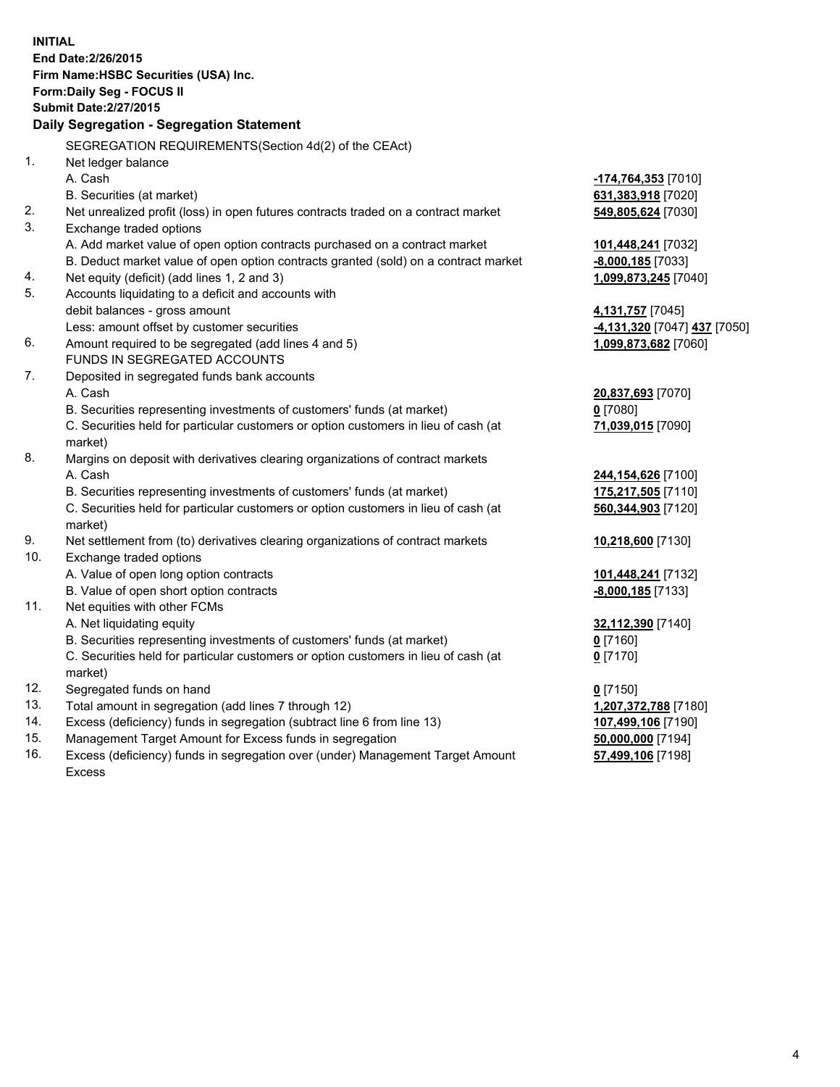| <b>INITIAL</b> | End Date: 2/26/2015<br>Firm Name: HSBC Securities (USA) Inc.<br>Form: Daily Seg - FOCUS II     |                              |
|----------------|------------------------------------------------------------------------------------------------|------------------------------|
|                | <b>Submit Date: 2/27/2015</b>                                                                  |                              |
|                | Daily Segregation - Segregation Statement                                                      |                              |
|                | SEGREGATION REQUIREMENTS(Section 4d(2) of the CEAct)                                           |                              |
| 1.             | Net ledger balance                                                                             |                              |
|                | A. Cash                                                                                        | -174,764,353 [7010]          |
|                | B. Securities (at market)                                                                      | 631,383,918 [7020]           |
| 2.             | Net unrealized profit (loss) in open futures contracts traded on a contract market             | 549,805,624 [7030]           |
| 3.             | Exchange traded options                                                                        |                              |
|                | A. Add market value of open option contracts purchased on a contract market                    | 101,448,241 [7032]           |
|                | B. Deduct market value of open option contracts granted (sold) on a contract market            | $-8,000,185$ [7033]          |
| 4.             | Net equity (deficit) (add lines 1, 2 and 3)                                                    | 1,099,873,245 [7040]         |
| 5.             | Accounts liquidating to a deficit and accounts with                                            |                              |
|                | debit balances - gross amount                                                                  | 4,131,757 [7045]             |
|                | Less: amount offset by customer securities                                                     | -4,131,320 [7047] 437 [7050] |
| 6.             | Amount required to be segregated (add lines 4 and 5)                                           | 1,099,873,682 [7060]         |
|                | FUNDS IN SEGREGATED ACCOUNTS                                                                   |                              |
| 7.             | Deposited in segregated funds bank accounts                                                    |                              |
|                | A. Cash                                                                                        | 20,837,693 [7070]            |
|                | B. Securities representing investments of customers' funds (at market)                         | $0$ [7080]                   |
|                | C. Securities held for particular customers or option customers in lieu of cash (at<br>market) | 71,039,015 [7090]            |
| 8.             | Margins on deposit with derivatives clearing organizations of contract markets                 |                              |
|                | A. Cash                                                                                        | 244,154,626 [7100]           |
|                | B. Securities representing investments of customers' funds (at market)                         | 175,217,505 [7110]           |
|                | C. Securities held for particular customers or option customers in lieu of cash (at<br>market) | 560,344,903 [7120]           |
| 9.             | Net settlement from (to) derivatives clearing organizations of contract markets                | 10,218,600 [7130]            |
| 10.            | Exchange traded options                                                                        |                              |
|                | A. Value of open long option contracts                                                         | 101,448,241 [7132]           |
|                | B. Value of open short option contracts                                                        | $-8,000,185$ [7133]          |
| 11.            | Net equities with other FCMs                                                                   |                              |
|                | A. Net liquidating equity                                                                      | 32,112,390 [7140]            |
|                | B. Securities representing investments of customers' funds (at market)                         | $0$ [7160]                   |
|                | C. Securities held for particular customers or option customers in lieu of cash (at<br>market) | $0$ [7170]                   |
| 12.            | Segregated funds on hand                                                                       | $0$ [7150]                   |
| 13.            | Total amount in segregation (add lines 7 through 12)                                           | 1,207,372,788 [7180]         |
| 14.            | Excess (deficiency) funds in segregation (subtract line 6 from line 13)                        | 107,499,106 [7190]           |
| 15.            | Management Target Amount for Excess funds in segregation                                       | 50,000,000 [7194]            |
| 16.            | Excess (deficiency) funds in segregation over (under) Management Target Amount                 | 57,499,106 [7198]            |

16. Excess (deficiency) funds in segregation over (under) Management Target Amount Excess